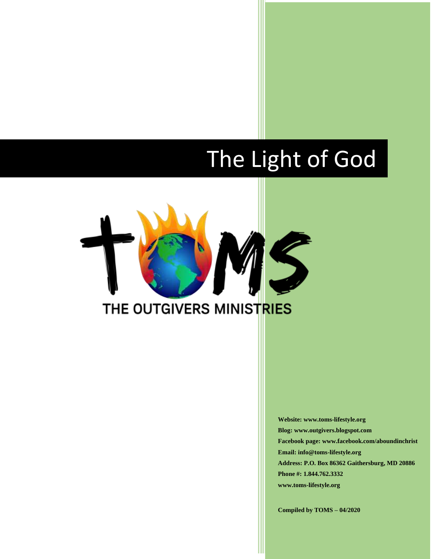# The Light of God



**Website: www.toms-lifestyle.org Blog: www.outgivers.blogspot.com Facebook page: www.facebook.com/aboundinchrist Email: info@toms-lifestyle.org Address: P.O. Box 86362 Gaithersburg, MD 20886 Phone #: 1.844.762.3332 www.toms-lifestyle.org**

**Compiled by TOMS – 04/2020**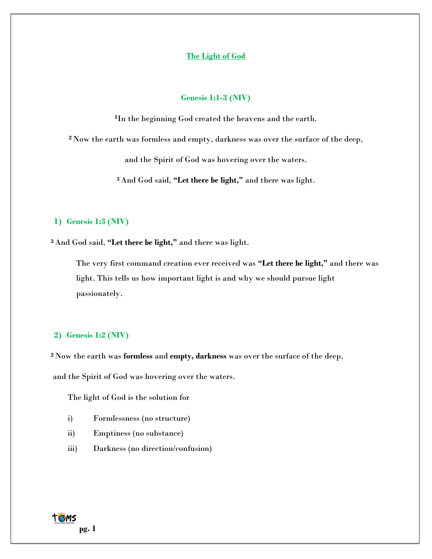## **The Light of God**

#### **Genesis 1:1-3 (NIV)**

**<sup>1</sup>**In the beginning God created the heavens and the earth.

**<sup>2</sup>** Now the earth was formless and empty, darkness was over the surface of the deep,

and the Spirit of God was hovering over the waters.

**<sup>3</sup>** And God said, **"Let there be light,"** and there was light.

## **1) Genesis 1:3 (NIV)**

**<sup>3</sup>** And God said, **"Let there be light,"** and there was light.

The very first command creation ever received was **"Let there be light,"** and there was light. This tells us how important light is and why we should pursue light passionately.

#### **2) Genesis 1:2 (NIV)**

**<sup>2</sup>** Now the earth was **formless** and **empty, darkness** was over the surface of the deep,

and the Spirit of God was hovering over the waters.

The light of God is the solution for

- i) Formlessness (no structure)
- ii) Emptiness (no substance)
- iii) Darkness (no direction/confusion)

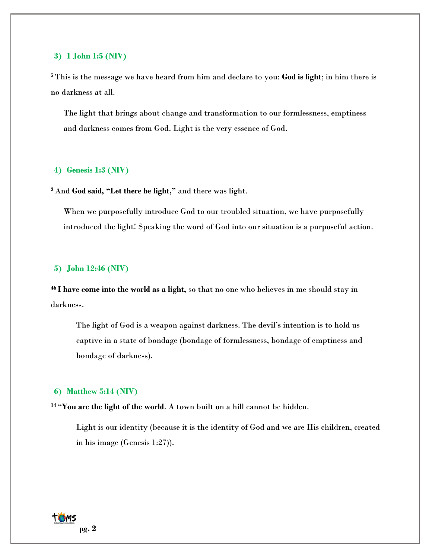#### **3) 1 John 1:5 (NIV)**

**<sup>5</sup>** This is the message we have heard from him and declare to you: **God is light**; in him there is no darkness at all.

The light that brings about change and transformation to our formlessness, emptiness and darkness comes from God. Light is the very essence of God.

#### **4) Genesis 1:3 (NIV)**

**<sup>3</sup>** And **God said, "Let there be light,"** and there was light.

When we purposefully introduce God to our troubled situation, we have purposefully introduced the light! Speaking the word of God into our situation is a purposeful action.

## **5) John 12:46 (NIV)**

**<sup>46</sup> I have come into the world as a light,** so that no one who believes in me should stay in darkness.

The light of God is a weapon against darkness. The devil's intention is to hold us captive in a state of bondage (bondage of formlessness, bondage of emptiness and bondage of darkness).

#### **6) Matthew 5:14 (NIV)**

**<sup>14</sup>** "**You are the light of the world**. A town built on a hill cannot be hidden.

Light is our identity (because it is the identity of God and we are His children, created in his image (Genesis 1:27)).

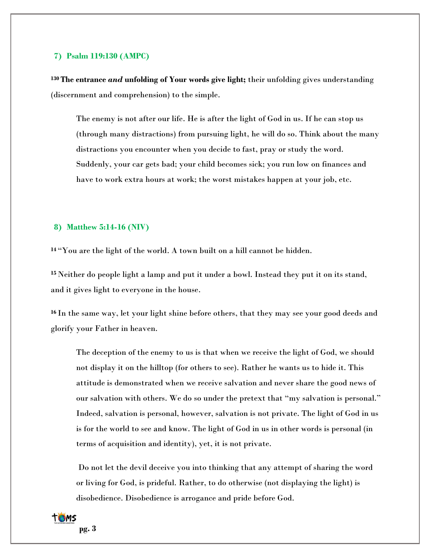#### **7) Psalm 119:130 (AMPC)**

**<sup>130</sup> The entrance** *and* **unfolding of Your words give light;** their unfolding gives understanding (discernment and comprehension) to the simple.

The enemy is not after our life. He is after the light of God in us. If he can stop us (through many distractions) from pursuing light, he will do so. Think about the many distractions you encounter when you decide to fast, pray or study the word. Suddenly, your car gets bad; your child becomes sick; you run low on finances and have to work extra hours at work; the worst mistakes happen at your job, etc.

#### **8) Matthew 5:14-16 (NIV)**

**<sup>14</sup>** "You are the light of the world. A town built on a hill cannot be hidden.

**<sup>15</sup>** Neither do people light a lamp and put it under a bowl. Instead they put it on its stand, and it gives light to everyone in the house.

**<sup>16</sup>** In the same way, let your light shine before others, that they may see your good deeds and glorify your Father in heaven.

The deception of the enemy to us is that when we receive the light of God, we should not display it on the hilltop (for others to see). Rather he wants us to hide it. This attitude is demonstrated when we receive salvation and never share the good news of our salvation with others. We do so under the pretext that "my salvation is personal." Indeed, salvation is personal, however, salvation is not private. The light of God in us is for the world to see and know. The light of God in us in other words is personal (in terms of acquisition and identity), yet, it is not private.

Do not let the devil deceive you into thinking that any attempt of sharing the word or living for God, is prideful. Rather, to do otherwise (not displaying the light) is disobedience. Disobedience is arrogance and pride before God.

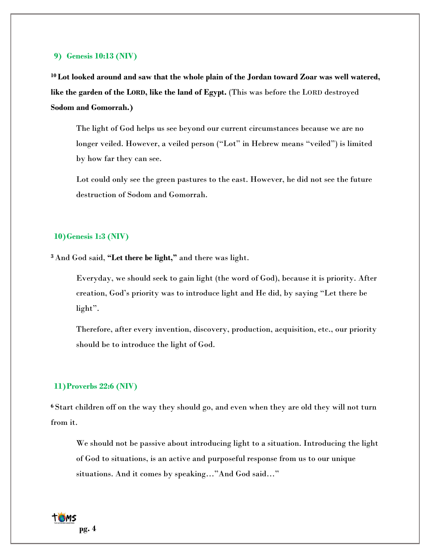#### **9) Genesis 10:13 (NIV)**

**<sup>10</sup> Lot looked around and saw that the whole plain of the Jordan toward Zoar was well watered, like the garden of the LORD, like the land of Egypt.** (This was before the LORD destroyed **Sodom and Gomorrah.)**

The light of God helps us see beyond our current circumstances because we are no longer veiled. However, a veiled person ("Lot" in Hebrew means "veiled") is limited by how far they can see.

Lot could only see the green pastures to the east. However, he did not see the future destruction of Sodom and Gomorrah.

#### **10)Genesis 1:3 (NIV)**

**<sup>3</sup>** And God said, **"Let there be light,"** and there was light.

Everyday, we should seek to gain light (the word of God), because it is priority. After creation, God's priority was to introduce light and He did, by saying "Let there be light".

Therefore, after every invention, discovery, production, acquisition, etc., our priority should be to introduce the light of God.

## **11)Proverbs 22:6 (NIV)**

**<sup>6</sup>** Start children off on the way they should go, and even when they are old they will not turn from it.

We should not be passive about introducing light to a situation. Introducing the light of God to situations, is an active and purposeful response from us to our unique situations. And it comes by speaking…"And God said…"

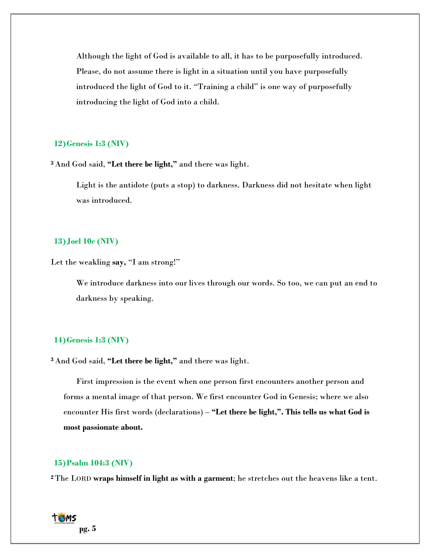Although the light of God is available to all, it has to be purposefully introduced. Please, do not assume there is light in a situation until you have purposefully introduced the light of God to it. "Training a child" is one way of purposefully introducing the light of God into a child.

#### **12)Genesis 1:3 (NIV)**

**<sup>3</sup>** And God said, **"Let there be light,"** and there was light.

Light is the antidote (puts a stop) to darkness. Darkness did not hesitate when light was introduced.

## **13)Joel 10c (NIV)**

Let the weakling **say,** "I am strong!"

We introduce darkness into our lives through our words. So too, we can put an end to darkness by speaking.

## **14)Genesis 1:3 (NIV)**

**<sup>3</sup>** And God said, **"Let there be light,"** and there was light.

First impression is the event when one person first encounters another person and forms a mental image of that person. We first encounter God in Genesis; where we also encounter His first words (declarations) – **"Let there be light,". This tells us what God is most passionate about.**

## **15)Psalm 104:3 (NIV)**

**<sup>2</sup>** The LORD **wraps himself in light as with a garment**; he stretches out the heavens like a tent.